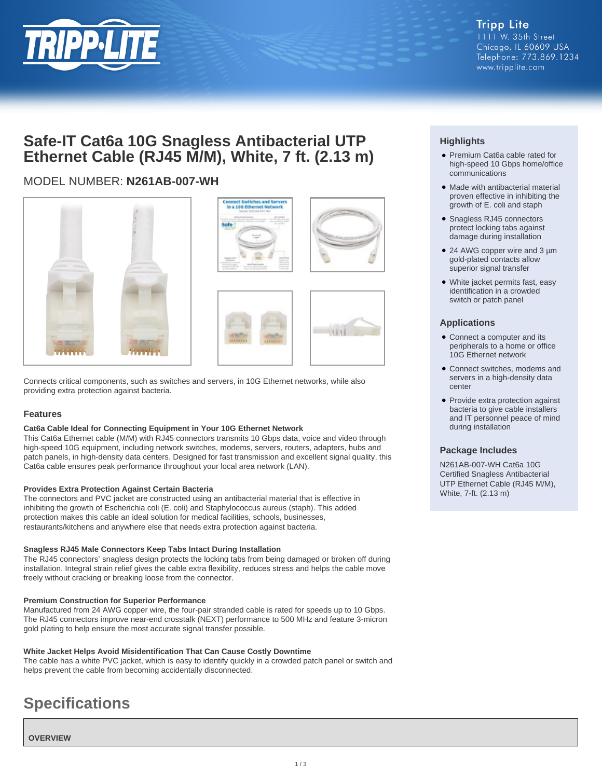

# **Safe-IT Cat6a 10G Snagless Antibacterial UTP Ethernet Cable (RJ45 M/M), White, 7 ft. (2.13 m)**

## MODEL NUMBER: **N261AB-007-WH**



Connects critical components, such as switches and servers, in 10G Ethernet networks, while also providing extra protection against bacteria.

#### **Features**

#### **Cat6a Cable Ideal for Connecting Equipment in Your 10G Ethernet Network**

This Cat6a Ethernet cable (M/M) with RJ45 connectors transmits 10 Gbps data, voice and video through high-speed 10G equipment, including network switches, modems, servers, routers, adapters, hubs and patch panels, in high-density data centers. Designed for fast transmission and excellent signal quality, this Cat6a cable ensures peak performance throughout your local area network (LAN).

#### **Provides Extra Protection Against Certain Bacteria**

The connectors and PVC jacket are constructed using an antibacterial material that is effective in inhibiting the growth of Escherichia coli (E. coli) and Staphylococcus aureus (staph). This added protection makes this cable an ideal solution for medical facilities, schools, businesses, restaurants/kitchens and anywhere else that needs extra protection against bacteria.

#### **Snagless RJ45 Male Connectors Keep Tabs Intact During Installation**

The RJ45 connectors' snagless design protects the locking tabs from being damaged or broken off during installation. Integral strain relief gives the cable extra flexibility, reduces stress and helps the cable move freely without cracking or breaking loose from the connector.

#### **Premium Construction for Superior Performance**

Manufactured from 24 AWG copper wire, the four-pair stranded cable is rated for speeds up to 10 Gbps. The RJ45 connectors improve near-end crosstalk (NEXT) performance to 500 MHz and feature 3-micron gold plating to help ensure the most accurate signal transfer possible.

#### **White Jacket Helps Avoid Misidentification That Can Cause Costly Downtime**

The cable has a white PVC jacket, which is easy to identify quickly in a crowded patch panel or switch and helps prevent the cable from becoming accidentally disconnected.

# **Specifications**

**OVERVIEW**

### **Highlights**

- Premium Cat6a cable rated for high-speed 10 Gbps home/office communications
- Made with antibacterial material proven effective in inhibiting the growth of E. coli and staph
- Snagless RJ45 connectors protect locking tabs against damage during installation
- 24 AWG copper wire and 3 µm gold-plated contacts allow superior signal transfer
- White jacket permits fast, easy identification in a crowded switch or patch panel

#### **Applications**

- Connect a computer and its peripherals to a home or office 10G Ethernet network
- Connect switches, modems and servers in a high-density data center
- Provide extra protection against bacteria to give cable installers and IT personnel peace of mind during installation

#### **Package Includes**

N261AB-007-WH Cat6a 10G Certified Snagless Antibacterial UTP Ethernet Cable (RJ45 M/M), White, 7-ft. (2.13 m)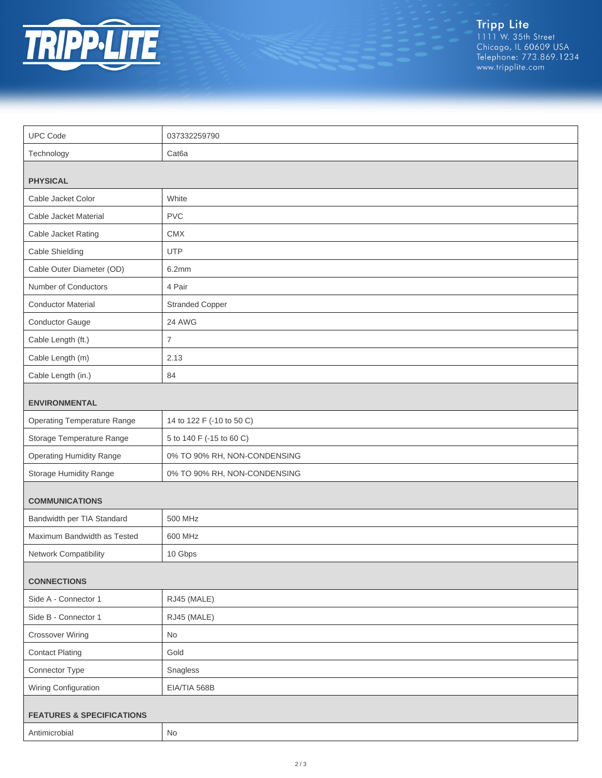

Tripp Lite<br>1111 W. 35th Street<br>Chicago, IL 60609 USA<br>Telephone: 773.869.1234<br>www.tripplite.com

| <b>UPC Code</b>                      | 037332259790                 |  |
|--------------------------------------|------------------------------|--|
| Technology                           | Cat <sub>6</sub> a           |  |
|                                      |                              |  |
| <b>PHYSICAL</b>                      |                              |  |
| Cable Jacket Color                   | White                        |  |
| Cable Jacket Material                | <b>PVC</b>                   |  |
| Cable Jacket Rating                  | <b>CMX</b>                   |  |
| Cable Shielding                      | <b>UTP</b>                   |  |
| Cable Outer Diameter (OD)            | 6.2mm                        |  |
| Number of Conductors                 | 4 Pair                       |  |
| <b>Conductor Material</b>            | <b>Stranded Copper</b>       |  |
| Conductor Gauge                      | 24 AWG                       |  |
| Cable Length (ft.)                   | $\overline{7}$               |  |
| Cable Length (m)                     | 2.13                         |  |
| Cable Length (in.)                   | 84                           |  |
| <b>ENVIRONMENTAL</b>                 |                              |  |
| <b>Operating Temperature Range</b>   | 14 to 122 F (-10 to 50 C)    |  |
| Storage Temperature Range            | 5 to 140 F (-15 to 60 C)     |  |
| <b>Operating Humidity Range</b>      | 0% TO 90% RH, NON-CONDENSING |  |
| Storage Humidity Range               | 0% TO 90% RH, NON-CONDENSING |  |
| <b>COMMUNICATIONS</b>                |                              |  |
|                                      | 500 MHz                      |  |
| Bandwidth per TIA Standard           |                              |  |
| Maximum Bandwidth as Tested          | 600 MHz                      |  |
| Network Compatibility                | 10 Gbps                      |  |
| <b>CONNECTIONS</b>                   |                              |  |
| Side A - Connector 1                 | RJ45 (MALE)                  |  |
| Side B - Connector 1                 | RJ45 (MALE)                  |  |
| <b>Crossover Wiring</b>              | No                           |  |
| <b>Contact Plating</b>               | Gold                         |  |
| Connector Type                       | Snagless                     |  |
| Wiring Configuration                 | EIA/TIA 568B                 |  |
| <b>FEATURES &amp; SPECIFICATIONS</b> |                              |  |
| Antimicrobial                        | No                           |  |
|                                      |                              |  |